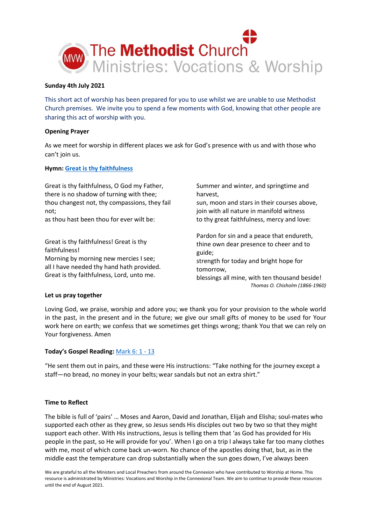

## **Sunday 4th July 2021**

This short act of worship has been prepared for you to use whilst we are unable to use Methodist Church premises. We invite you to spend a few moments with God, knowing that other people are sharing this act of worship with you.

## **Opening Prayer**

As we meet for worship in different places we ask for God's presence with us and with those who can't join us.

## **Hymn[: Great is thy faithfulness](https://youtu.be/0k1WhFtVp0o)**

Great is thy faithfulness, O God my Father, there is no shadow of turning with thee; thou changest not, thy compassions, they fail not; as thou hast been thou for ever wilt be: Great is thy faithfulness! Great is thy faithfulness! Morning by morning new mercies I see; all I have needed thy hand hath provided. Great is thy faithfulness, Lord, unto me. Summer and winter, and springtime and harvest, sun, moon and stars in their courses above, join with all nature in manifold witness to thy great faithfulness, mercy and love: Pardon for sin and a peace that endureth, thine own dear presence to cheer and to guide; strength for today and bright hope for tomorrow, blessings all mine, with ten thousand beside! *Thomas O. Chisholm (1866-1960)*

## **Let us pray together**

Loving God, we praise, worship and adore you; we thank you for your provision to the whole world in the past, in the present and in the future; we give our small gifts of money to be used for Your work here on earth; we confess that we sometimes get things wrong; thank You that we can rely on Your forgiveness. Amen

# **Today's Gospel Reading:** [Mark 6:](https://www.biblegateway.com/passage/?search=Mark+6%3A+1+-+13&version=NIV) 1 - 13

"He sent them out in pairs, and these were His instructions: "Take nothing for the journey except a staff—no bread, no money in your belts;wear sandals but not an extra shirt."

# **Time to Reflect**

The bible is full of 'pairs' … Moses and Aaron, David and Jonathan, Elijah and Elisha; soul-mates who supported each other as they grew, so Jesus sends His disciples out two by two so that they might support each other. With His instructions, Jesus is telling them that 'as God has provided for His people in the past, so He will provide for you'. When I go on a trip I always take far too many clothes with me, most of which come back un-worn. No chance of the apostles doing that, but, as in the middle east the temperature can drop substantially when the sun goes down, I've always been

We are grateful to all the Ministers and Local Preachers from around the Connexion who have contributed to Worship at Home. This resource is administrated by Ministries: Vocations and Worship in the Connexional Team. We aim to continue to provide these resources until the end of August 2021.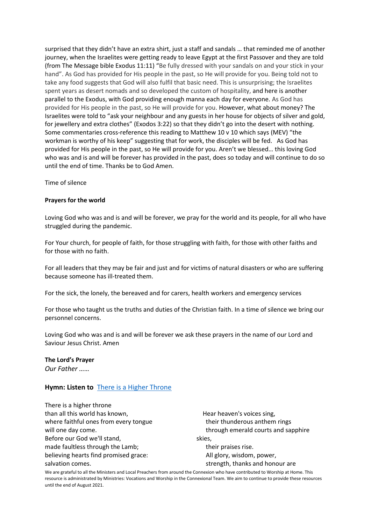surprised that they didn't have an extra shirt, just a staff and sandals … that reminded me of another journey, when the Israelites were getting ready to leave Egypt at the first Passover and they are told (from The Message bible Exodus 11:11) "Be fully dressed with your sandals on and your stick in your hand". As God has provided for His people in the past, so He will provide for you. Being told not to take any food suggests that God will also fulfil that basic need. This is unsurprising; the Israelites spent years as desert nomads and so developed the custom of hospitality, and here is another parallel to the Exodus, with God providing enough manna each day for everyone. As God has provided for His people in the past, so He will provide for you. However, what about money? The Israelites were told to "ask your neighbour and any guests in her house for objects of silver and gold, for jewellery and extra clothes" (Exodos 3:22) so that they didn't go into the desert with nothing. Some commentaries cross-reference this reading to Matthew 10 v 10 which says (MEV) "the workman is worthy of his keep" suggesting that for work, the disciples will be fed. As God has provided for His people in the past, so He will provide for you. Aren't we blessed… this loving God who was and is and will be forever has provided in the past, does so today and will continue to do so until the end of time. Thanks be to God Amen.

Time of silence

#### **Prayers for the world**

Loving God who was and is and will be forever, we pray for the world and its people, for all who have struggled during the pandemic.

For Your church, for people of faith, for those struggling with faith, for those with other faiths and for those with no faith.

For all leaders that they may be fair and just and for victims of natural disasters or who are suffering because someone has ill-treated them.

For the sick, the lonely, the bereaved and for carers, health workers and emergency services

For those who taught us the truths and duties of the Christian faith. In a time of silence we bring our personnel concerns.

Loving God who was and is and will be forever we ask these prayers in the name of our Lord and Saviour Jesus Christ. Amen

#### **The Lord's Prayer**

*Our Father ……*

## **Hymn: Listen to** [There is a Higher Throne](https://youtu.be/F2YXNFVegxU)

| There is a higher throne              |                                     |
|---------------------------------------|-------------------------------------|
| than all this world has known,        | Hear heaven's voices sing,          |
| where faithful ones from every tongue | their thunderous anthem rings       |
| will one day come.                    | through emerald courts and sapphire |
| Before our God we'll stand,           | skies,                              |
| made faultless through the Lamb;      | their praises rise.                 |
| believing hearts find promised grace: | All glory, wisdom, power,           |
| salvation comes.                      | strength, thanks and honour are     |

We are grateful to all the Ministers and Local Preachers from around the Connexion who have contributed to Worship at Home. This resource is administrated by Ministries: Vocations and Worship in the Connexional Team. We aim to continue to provide these resources until the end of August 2021.